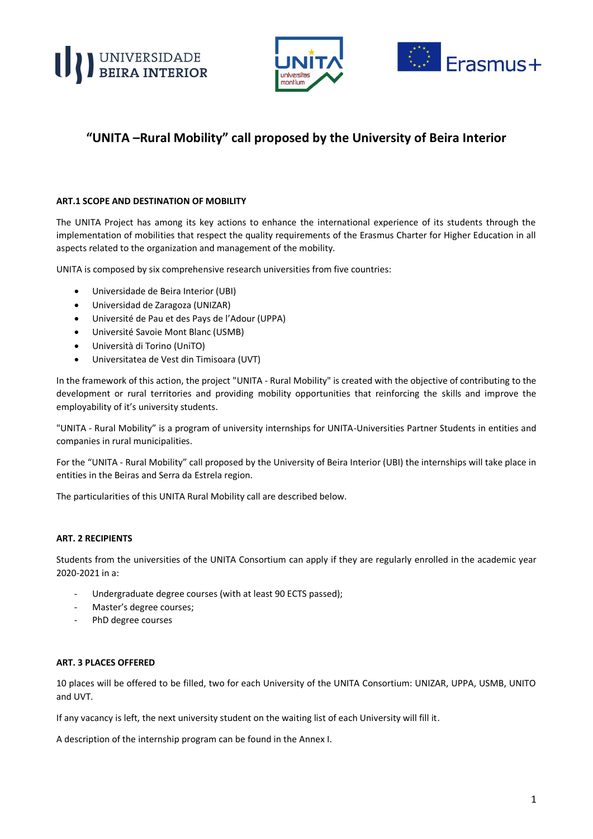





# **"UNITA –Rural Mobility" call proposed by the University of Beira Interior**

# **ART.1 SCOPE AND DESTINATION OF MOBILITY**

The UNITA Project has among its key actions to enhance the international experience of its students through the implementation of mobilities that respect the quality requirements of the Erasmus Charter for Higher Education in all aspects related to the organization and management of the mobility.

UNITA is composed by six comprehensive research universities from five countries:

- Universidade de Beira Interior (UBI)
- Universidad de Zaragoza (UNIZAR)
- Université de Pau et des Pays de l'Adour (UPPA)
- Université Savoie Mont Blanc (USMB)
- Università di Torino (UniTO)
- Universitatea de Vest din Timisoara (UVT)

In the framework of this action, the project "UNITA - Rural Mobility" is created with the objective of contributing to the development or rural territories and providing mobility opportunities that reinforcing the skills and improve the employability of it's university students.

"UNITA - Rural Mobility" is a program of university internships for UNITA-Universities Partner Students in entities and companies in rural municipalities.

For the "UNITA - Rural Mobility" call proposed by the University of Beira Interior (UBI) the internships will take place in entities in the Beiras and Serra da Estrela region.

The particularities of this UNITA Rural Mobility call are described below.

# **ART. 2 RECIPIENTS**

Students from the universities of the UNITA Consortium can apply if they are regularly enrolled in the academic year 2020-2021 in a:

- Undergraduate degree courses (with at least 90 ECTS passed);
- Master's degree courses;
- PhD degree courses

# **ART. 3 PLACES OFFERED**

10 places will be offered to be filled, two for each University of the UNITA Consortium: UNIZAR, UPPA, USMB, UNITO and UVT.

If any vacancy is left, the next university student on the waiting list of each University will fill it.

A description of the internship program can be found in the Annex I.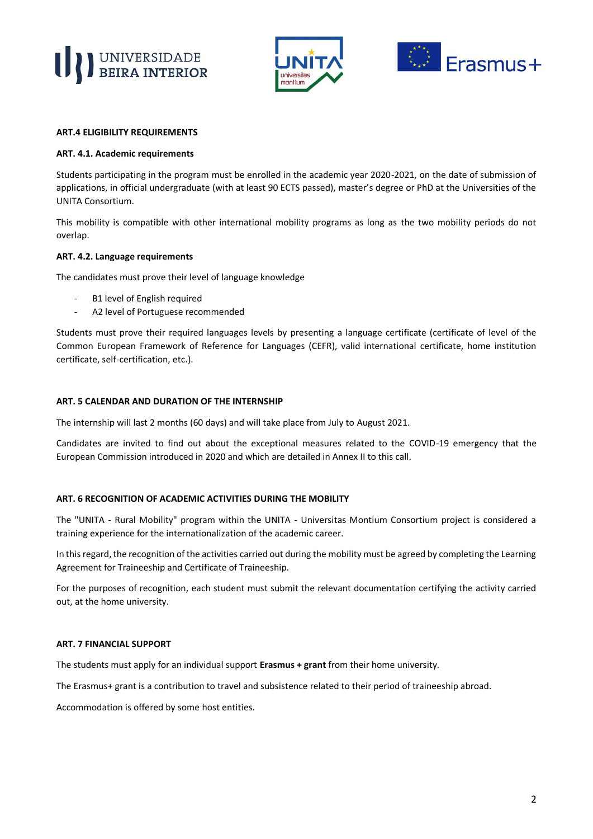





#### **ART.4 ELIGIBILITY REQUIREMENTS**

#### **ART. 4.1. Academic requirements**

Students participating in the program must be enrolled in the academic year 2020-2021, on the date of submission of applications, in official undergraduate (with at least 90 ECTS passed), master's degree or PhD at the Universities of the UNITA Consortium.

This mobility is compatible with other international mobility programs as long as the two mobility periods do not overlap.

#### **ART. 4.2. Language requirements**

The candidates must prove their level of language knowledge

- B1 level of English required
- A2 level of Portuguese recommended

Students must prove their required languages levels by presenting a language certificate (certificate of level of the Common European Framework of Reference for Languages (CEFR), valid international certificate, home institution certificate, self-certification, etc.).

#### **ART. 5 CALENDAR AND DURATION OF THE INTERNSHIP**

The internship will last 2 months (60 days) and will take place from July to August 2021.

Candidates are invited to find out about the exceptional measures related to the COVID-19 emergency that the European Commission introduced in 2020 and which are detailed in Annex II to this call.

# **ART. 6 RECOGNITION OF ACADEMIC ACTIVITIES DURING THE MOBILITY**

The "UNITA - Rural Mobility" program within the UNITA - Universitas Montium Consortium project is considered a training experience for the internationalization of the academic career.

In this regard, the recognition of the activities carried out during the mobility must be agreed by completing the Learning Agreement for Traineeship and Certificate of Traineeship.

For the purposes of recognition, each student must submit the relevant documentation certifying the activity carried out, at the home university.

#### **ART. 7 FINANCIAL SUPPORT**

The students must apply for an individual support **Erasmus + grant** from their home university.

The Erasmus+ grant is a contribution to travel and subsistence related to their period of traineeship abroad.

Accommodation is offered by some host entities.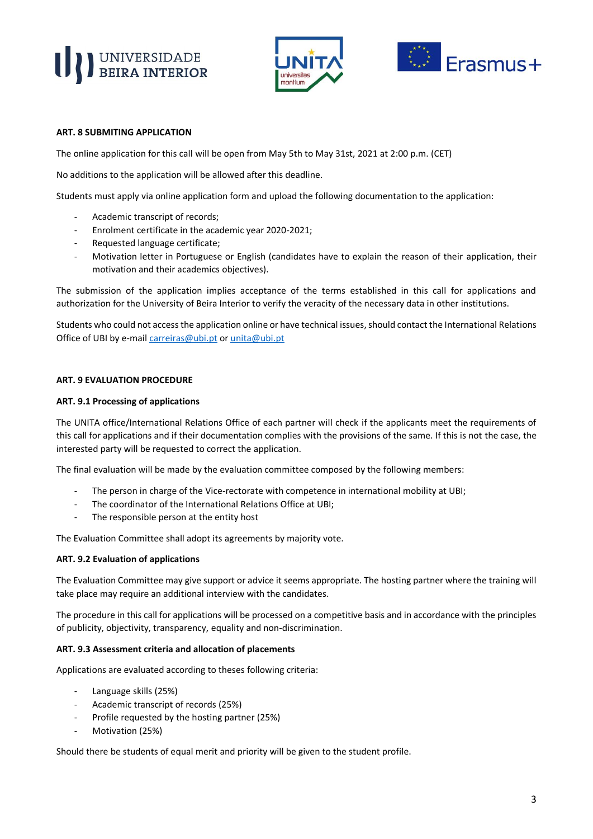# UNIVERSIDADE





# **ART. 8 SUBMITING APPLICATION**

The online application for this call will be open from May 5th to May 31st, 2021 at 2:00 p.m. (CET)

No additions to the application will be allowed after this deadline.

Students must apply via online application form and upload the following documentation to the application:

- Academic transcript of records;
- Enrolment certificate in the academic year 2020-2021;
- Requested language certificate;
- Motivation letter in Portuguese or English (candidates have to explain the reason of their application, their motivation and their academics objectives).

The submission of the application implies acceptance of the terms established in this call for applications and authorization for the University of Beira Interior to verify the veracity of the necessary data in other institutions.

Students who could not access the application online or have technical issues, should contact the International Relations Office of UBI by e-mail [carreiras@ubi.pt](mailto:carreiras@ubi.pt) o[r unita@ubi.pt](mailto:unita@ubi.pt)

# **ART. 9 EVALUATION PROCEDURE**

# **ART. 9.1 Processing of applications**

The UNITA office/International Relations Office of each partner will check if the applicants meet the requirements of this call for applications and if their documentation complies with the provisions of the same. If this is not the case, the interested party will be requested to correct the application.

The final evaluation will be made by the evaluation committee composed by the following members:

- The person in charge of the Vice-rectorate with competence in international mobility at UBI;
- The coordinator of the International Relations Office at UBI;
- The responsible person at the entity host

The Evaluation Committee shall adopt its agreements by majority vote.

# **ART. 9.2 Evaluation of applications**

The Evaluation Committee may give support or advice it seems appropriate. The hosting partner where the training will take place may require an additional interview with the candidates.

The procedure in this call for applications will be processed on a competitive basis and in accordance with the principles of publicity, objectivity, transparency, equality and non-discrimination.

# **ART. 9.3 Assessment criteria and allocation of placements**

Applications are evaluated according to theses following criteria:

- Language skills (25%)
- Academic transcript of records (25%)
- Profile requested by the hosting partner (25%)
- Motivation (25%)

Should there be students of equal merit and priority will be given to the student profile.